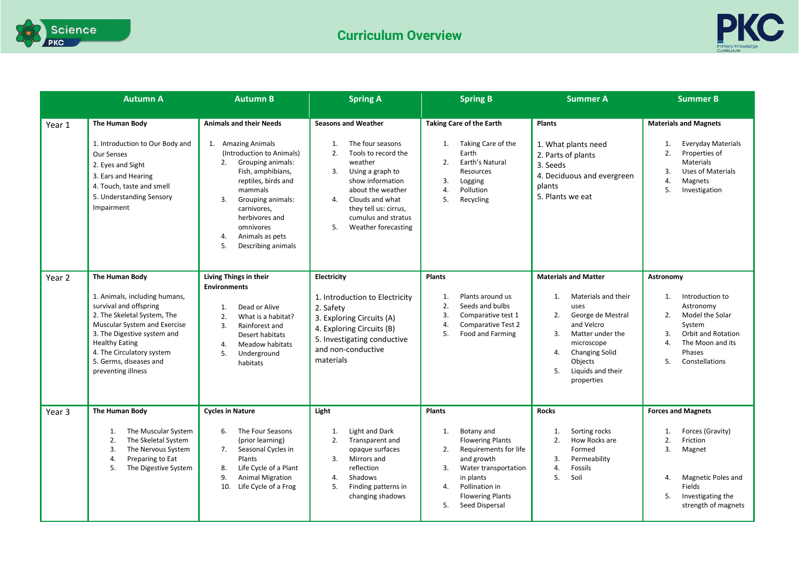



|        | <b>Autumn A</b>                                                                                                                                                                                                                                                               | <b>Autumn B</b>                                                                                                                                                                                                                                                                                   | <b>Spring A</b>                                                                                                                                                                                                                                                                   | <b>Spring B</b>                                                                                                                                                                                                                 | <b>Summer A</b>                                                                                                                                                                                                                      | <b>Summer B</b>                                                                                                                                                                                    |
|--------|-------------------------------------------------------------------------------------------------------------------------------------------------------------------------------------------------------------------------------------------------------------------------------|---------------------------------------------------------------------------------------------------------------------------------------------------------------------------------------------------------------------------------------------------------------------------------------------------|-----------------------------------------------------------------------------------------------------------------------------------------------------------------------------------------------------------------------------------------------------------------------------------|---------------------------------------------------------------------------------------------------------------------------------------------------------------------------------------------------------------------------------|--------------------------------------------------------------------------------------------------------------------------------------------------------------------------------------------------------------------------------------|----------------------------------------------------------------------------------------------------------------------------------------------------------------------------------------------------|
| Year 1 | The Human Body<br>1. Introduction to Our Body and<br>Our Senses<br>2. Eyes and Sight<br>3. Ears and Hearing<br>4. Touch, taste and smell<br>5. Understanding Sensory<br>Impairment                                                                                            | <b>Animals and their Needs</b><br>1. Amazing Animals<br>(Introduction to Animals)<br>2.<br>Grouping animals:<br>Fish, amphibians,<br>reptiles, birds and<br>mammals<br>3.<br>Grouping animals:<br>carnivores,<br>herbivores and<br>omnivores<br>Animals as pets<br>4.<br>5.<br>Describing animals | <b>Seasons and Weather</b><br>The four seasons<br>$\mathbf{1}$ .<br>2.<br>Tools to record the<br>weather<br>3.<br>Using a graph to<br>show information<br>about the weather<br>Clouds and what<br>4.<br>they tell us: cirrus,<br>cumulus and stratus<br>Weather forecasting<br>5. | <b>Taking Care of the Earth</b><br>Taking Care of the<br>1.<br>Earth<br>Earth's Natural<br>2.<br>Resources<br>3.<br>Logging<br>Pollution<br>4.<br>5.<br>Recycling                                                               | <b>Plants</b><br>1. What plants need<br>2. Parts of plants<br>3. Seeds<br>4. Deciduous and evergreen<br>plants<br>5. Plants we eat                                                                                                   | <b>Materials and Magnets</b><br><b>Everyday Materials</b><br>1.<br>$\overline{2}$ .<br>Properties of<br><b>Materials</b><br>3.<br><b>Uses of Materials</b><br>4.<br>Magnets<br>5.<br>Investigation |
| Year 2 | The Human Body<br>1. Animals, including humans,<br>survival and offspring<br>2. The Skeletal System, The<br>Muscular System and Exercise<br>3. The Digestive system and<br><b>Healthy Eating</b><br>4. The Circulatory system<br>5. Germs, diseases and<br>preventing illness | Living Things in their<br><b>Environments</b><br>Dead or Alive<br>1.<br>2.<br>What is a habitat?<br>3.<br>Rainforest and<br>Desert habitats<br>Meadow habitats<br>4.<br>5.<br>Underground<br>habitats                                                                                             | <b>Electricity</b><br>1. Introduction to Electricity<br>2. Safety<br>3. Exploring Circuits (A)<br>4. Exploring Circuits (B)<br>5. Investigating conductive<br>and non-conductive<br>materials                                                                                     | <b>Plants</b><br>Plants around us<br>1.<br>2.<br>Seeds and bulbs<br>3.<br>Comparative test 1<br><b>Comparative Test 2</b><br>4.<br>5.<br>Food and Farming                                                                       | <b>Materials and Matter</b><br>Materials and their<br>1.<br>uses<br>2.<br>George de Mestral<br>and Velcro<br>3.<br>Matter under the<br>microscope<br><b>Changing Solid</b><br>4.<br>Objects<br>Liquids and their<br>5.<br>properties | Astronomy<br>Introduction to<br>1.<br>Astronomy<br>2.<br>Model the Solar<br>System<br>3.<br><b>Orbit and Rotation</b><br>$\overline{4}$ .<br>The Moon and its<br>Phases<br>5.<br>Constellations    |
| Year 3 | The Human Body<br>The Muscular System<br>1.<br>2.<br>The Skeletal System<br>3.<br>The Nervous System<br>4.<br>Preparing to Eat<br>5.<br>The Digestive System                                                                                                                  | <b>Cycles in Nature</b><br>The Four Seasons<br>6.<br>(prior learning)<br>7.<br>Seasonal Cycles in<br>Plants<br>Life Cycle of a Plant<br>8.<br>9.<br><b>Animal Migration</b><br>10.<br>Life Cycle of a Frog                                                                                        | Light<br>Light and Dark<br>1.<br>2.<br>Transparent and<br>opaque surfaces<br>3.<br>Mirrors and<br>reflection<br>Shadows<br>4.<br>5.<br>Finding patterns in<br>changing shadows                                                                                                    | <b>Plants</b><br>Botany and<br>1.<br><b>Flowering Plants</b><br>Requirements for life<br>2.<br>and growth<br>Water transportation<br>3.<br>in plants<br>Pollination in<br>4.<br><b>Flowering Plants</b><br>Seed Dispersal<br>5. | <b>Rocks</b><br>Sorting rocks<br>1.<br>2.<br>How Rocks are<br>Formed<br>3.<br>Permeability<br>4.<br>Fossils<br>5.<br>Soil                                                                                                            | <b>Forces and Magnets</b><br>Forces (Gravity)<br>1.<br>2.<br>Friction<br>3.<br>Magnet<br>Magnetic Poles and<br>4.<br>Fields<br>5.<br>Investigating the<br>strength of magnets                      |